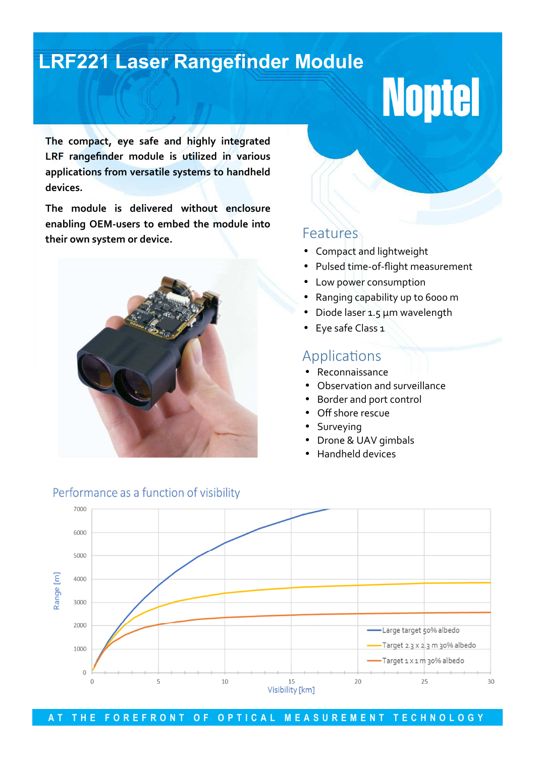## **LRF221 Laser Rangefinder Module**

# **Noptel**

**The compact, eye safe and highly integrated LRF rangefinder module is utilized in various applications from versatile systems to handheld devices.** 

**The module is delivered without enclosure enabling OEM-users to embed the module into their own system or device.** 



### Features

- Compact and lightweight
- Pulsed time-of-flight measurement
- Low power consumption
- Ranging capability up to 6000 m
- Diode laser 1.5 µm wavelength
- Eye safe Class 1

## Applications

- Reconnaissance
- Observation and surveillance
- Border and port control
- Off shore rescue
- **Surveying**
- Drone & UAV gimbals
- Handheld devices



#### Performance as a function of visibility

AT THE FOREFRONT OF OPTICAL MEASUREMENT TECHNOLOGY